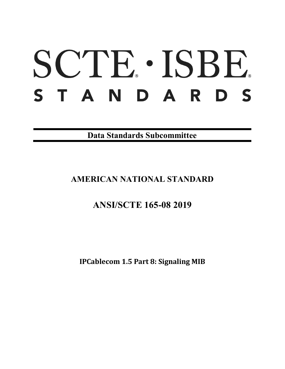# SCTE · ISBE. STANDARDS

**Data Standards Subcommittee**

## **AMERICAN NATIONAL STANDARD**

## **ANSI/SCTE 165-08 2019**

**IPCablecom 1.5 Part 8: Signaling MIB**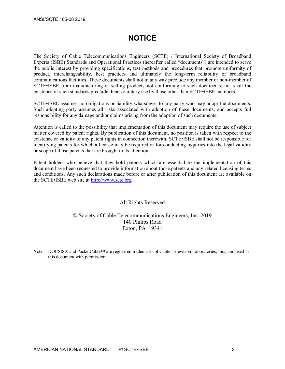## **NOTICE**

The Society of Cable Telecommunications Engineers (SCTE) / International Society of Broadband Experts (ISBE) Standards and Operational Practices (hereafter called "documents") are intended to serve the public interest by providing specifications, test methods and procedures that promote uniformity of product, interchangeability, best practices and ultimately the long-term reliability of broadband communications facilities. These documents shall not in any way preclude any member or non-member of SCTE•ISBE from manufacturing or selling products not conforming to such documents, nor shall the existence of such standards preclude their voluntary use by those other than SCTE•ISBE members.

SCTE•ISBE assumes no obligations or liability whatsoever to any party who may adopt the documents. Such adopting party assumes all risks associated with adoption of these documents, and accepts full responsibility for any damage and/or claims arising from the adoption of such documents.

Attention is called to the possibility that implementation of this document may require the use of subject matter covered by patent rights. By publication of this document, no position is taken with respect to the existence or validity of any patent rights in connection therewith. SCTE•ISBE shall not be responsible for identifying patents for which a license may be required or for conducting inquiries into the legal validity or scope of those patents that are brought to its attention.

Patent holders who believe that they hold patents which are essential to the implementation of this document have been requested to provide information about those patents and any related licensing terms and conditions. Any such declarations made before or after publication of this document are available on the SCTE•ISBE web site at [http://www.scte.org.](http://www.scte.org/)

#### All Rights Reserved

#### © Society of Cable Telecommunications Engineers, Inc. 2019 140 Philips Road Exton, PA 19341

Note: DOCSIS® and PacketCable™ are registered trademarks of Cable Television Laboratories, Inc., and used in this document with permission.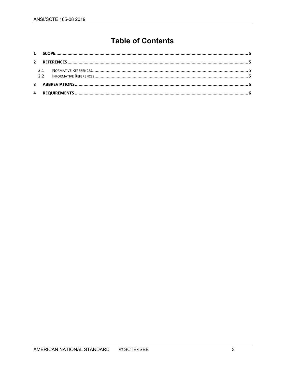# **Table of Contents**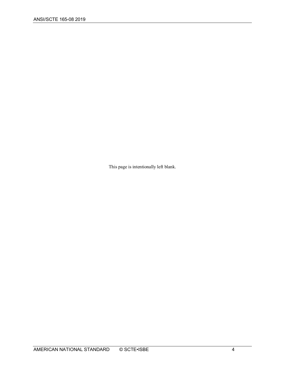This page is intentionally left blank.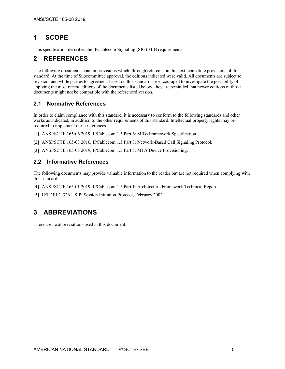## <span id="page-4-0"></span>**1 SCOPE**

This specification describes the IPCablecom Signaling (SIG) MIB requirements.

### <span id="page-4-1"></span>**2 REFERENCES**

The following documents contain provisions which, through reference in this text, constitute provisions of this standard. At the time of Subcommittee approval, the editions indicated were valid. All documents are subject to revision, and while parties to agreement based on this standard are encouraged to investigate the possibility of applying the most recent editions of the documents listed below, they are reminded that newer editions of those documents might not be compatible with the referenced version.

#### <span id="page-4-2"></span>**2.1 Normative References**

In order to claim compliance with this standard, it is necessary to conform to the following standards and other works as indicated, in addition to the other requirements of this standard. Intellectual property rights may be required to implement these references.

- [1] ANSI/SCTE 165-06 2019, IPCablecom 1.5 Part 6: MIBs Framework Specification.
- [2] ANSI/SCTE 165-03 2016, IPCablecom 1.5 Part 3: Network-Based Call Signaling Protocol.
- [3] ANSI/SCTE 165-05 2019, IPCablecom 1.5 Part 5: MTA Device Provisioning.

#### <span id="page-4-3"></span>**2.2 Informative References**

The following documents may provide valuable information to the reader but are not required when complying with this standard.

- [4] ANSI/SCTE 165-01 2019, IPCablecom 1.5 Part 1: Architecture Framework Technical Report.
- [5] IETF RFC 3261, SIP: Session Initiation Protocol, February 2002.

#### <span id="page-4-4"></span>**3 ABBREVIATIONS**

There are no abbreviations used in this document.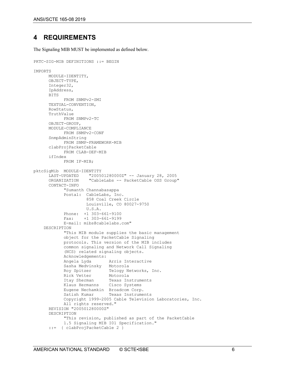#### <span id="page-5-0"></span>**4 REQUIREMENTS**

The Signaling MIB MUST be implemented as defined below.

```
PKTC-SIG-MIB DEFINITIONS ::= BEGIN
IMPORTS
        MODULE-IDENTITY,
        OBJECT-TYPE,
        Integer32,
        IpAddress,
        BITS
               FROM SNMPv2-SMI
        TEXTUAL-CONVENTION,
        RowStatus,
        TruthValue
               FROM SNMPv2-TC
        OBJECT-GROUP,
        MODULE-COMPLIANCE
               FROM SNMPv2-CONF
        SnmpAdminString
               FROM SNMP-FRAMEWORK-MIB
        clabProjPacketCable
              FROM CLAB-DEF-MIB
        ifIndex 
               FROM IF-MIB;
pktcSigMib MODULE-IDENTITY<br>LAST-UPDATED "2005
       LAST-UPDATED "2005012800002" -- January 28, 2005<br>ORGANIZATION "CableLabs -- PacketCable OSS Group
                         "CableLabs -- PacketCable OSS Group"
        CONTACT-INFO
               "Sumanth Channabasappa
               Postal: CableLabs, Inc.
                          858 Coal Creek Circle
                         Louisville, CO 80027-9750
                          U.S.A.
              Phone: +1 303-661-9100<br>Fax: +1 303-661-9199
                        Fax: +1 303-661-9199
               E-mail: mibs@cablelabs.com"
      DESCRIPTION
               "This MIB module supplies the basic management 
               object for the PacketCable Signaling 
               protocols. This version of the MIB includes
               common signaling and Network Call Signaling
               (NCS) related signaling objects.
              Acknowledgements:<br>Angela Lyda
                                   Arris Interactive
              Sasha Medvinsky Motorola<br>Roy Spitzer Telogy N
                                    Telogy Networks, Inc.<br>Motorola
              Rick Vetter<br>Itay Sherman
                                    Texas Instruments<br>Cisco Systems
              Klaus Hermanns
              Eugene Nechamkin Broadcom Corp.<br>Satish Kumar Texas Instrume
                                   Texas Instruments
               Copyright 1999-2005 Cable Television Laboratories, Inc.
               All rights reserved."
        REVISION "200501280000Z"
        DESCRIPTION
               "This revision, published as part of the PacketCable
               1.5 Signaling MIB I01 Specification."
        ::= { clabProjPacketCable 2 }
```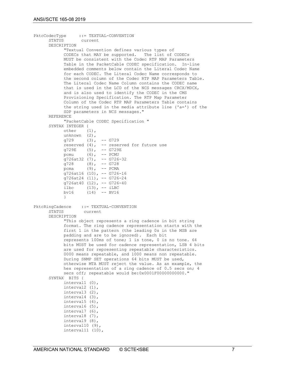```
PktcCodecType ::= TEXTUAL-CONVENTION<br>STATUS current
                    current
       DESCRIPTION 
              "Textual Convention defines various types of 
              CODECs that MAY be supported. The list of CODECs 
              MUST be consistent with the Codec RTP MAP Parameters
              Table in the PacketCable CODEC specification. In-line 
              embedded comments below contain the Literal Codec Name 
              for each CODEC. The Literal Codec Name corresponds to 
              the second column of the Codec RTP MAP Parameters Table. 
              The Literal Codec Name Column contains the CODEC name 
              that is used in the LCD of the NCS messages CRCX/MDCX, 
              and is also used to identify the CODEC in the CMS 
              Provisioning Specification. The RTP Map Parameter 
              Column of the Codec RTP MAP Parameters Table contains
              the string used in the media attribute line ('a=') of the 
              SDP parameters in NCS messages."
       REFERENCE 
              "PacketCable CODEC Specification "
      SYNTAX INTEGER {<br>other (1),
             other (1),<br>unknown (2),
             unknown (2),<br>q729 (3),
g729 (3), -- G729
 reserved (4), -- reserved for future use
             g729E (5), -- G729E<br>pcmu (6), -- PCMU
                              pcmu (6), -- PCMU
             g726at32 (7), -- G726-32<br>g728 (8), -- G728
             g728 (8), -- G728<br>pcma (9), -- PCMA
                             -- PCMA
              g726at16 (10), -- G726-16
              g726at24 (11), -- G726-24
              g726at40 (12), -- G726-40
            ilbc (13), - - iLBC<br>bv16 (14) - - BV16
                      (14) -- BV16
 }
PktcRingCadence ::= TEXTUAL-CONVENTION<br>STATUS current
                     current
       DESCRIPTION 
              "This object represents a ring cadence in bit string 
              format. The ring cadence representation starts with the 
              first 1 in the pattern (the leading 0s in the MSB are 
              padding and are to be ignored). Each bit 
              represents 100ms of tone; 1 is tone, 0 is no tone. 64
              bits MUST be used for cadence representation, LSB 4 bits
              are used for representing repeatable characteristics.
              0000 means repeatable, and 1000 means non repeatable. 
              During SNMP SET operations 64 bits MUST be used, 
              otherwise MTA MUST reject the value. As an example, the 
              hex representation of a ring cadence of 0.5 secs on; 4 
             secs off; repeatable would be:0x0001F00000000000."
       SYNTAX BITS {
              interval1 (0),
              interval2 (1),
              interval3 (2),
              interval4 (3),
              interval5 (4),
              interval6 (5),
              interval7 (6),
              interval8 (7),
              interval9 (8),
              interval10 (9),
              interval11 (10),
```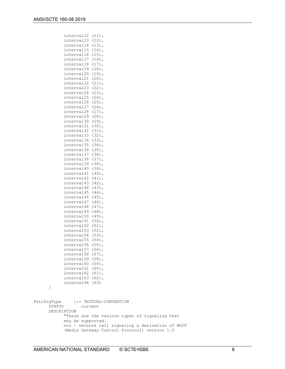|             | intervall2               | $(11)$ ,             |                           |
|-------------|--------------------------|----------------------|---------------------------|
|             | interval13               | $(12)$ ,             |                           |
|             | interval14               | $(13)$ ,             |                           |
|             | interval15               | $(14)$ ,             |                           |
|             | interval16               | $(15)$ ,             |                           |
|             | interval17               | $(16)$ ,             |                           |
|             | interval18               | $(17)$ ,             |                           |
|             | interval19               | $(18)$ ,             |                           |
|             | interval20               | $(19)$ ,             |                           |
|             | interval21               | $(20)$ ,             |                           |
|             | interval22               | $(21)$ ,             |                           |
|             | interval23               | $(22)$ ,             |                           |
|             | interval24               | $(23)$ ,             |                           |
|             | interval25               | $(24)$ ,             |                           |
|             | interval26               | $(25)$ ,             |                           |
|             | interval27               | $(26)$ ,             |                           |
|             | interval28               | $(27)$ ,             |                           |
|             | interval29               | $(28)$ ,             |                           |
|             | interval30               | $(29)$ ,             |                           |
|             | interval31               | $(30)$ ,             |                           |
|             | interval32               | $(31)$ ,             |                           |
|             | interval33               | $(32)$ ,             |                           |
|             | interval34               | $(33)$ ,             |                           |
|             | interval35               | $(34)$ ,             |                           |
|             |                          | $(35)$ ,             |                           |
|             | interval36               |                      |                           |
|             | interval37<br>interval38 | $(36)$ ,<br>$(37)$ , |                           |
|             | interval39               | $(38)$ ,             |                           |
|             | interval40               | $(39)$ ,             |                           |
|             | interval41               | $(40)$ ,             |                           |
|             | interval42               | $(41)$ ,             |                           |
|             | interval43               | $(42)$ ,             |                           |
|             | interval44               | $(43)$ ,             |                           |
|             | interval45               | $(44)$ ,             |                           |
|             | interval46               | $(45)$ ,             |                           |
|             | interval47               | $(46)$ ,             |                           |
|             | interval48               | $(47)$ ,             |                           |
|             | interval49               | $(48)$ ,             |                           |
|             | interval50               | $(49)$ ,             |                           |
|             | interval51               | $(50)$ ,             |                           |
|             | interval52               | $(51)$ ,             |                           |
|             |                          |                      |                           |
|             | interval53               | $(52)$ ,             |                           |
|             | interval54<br>interval55 | $(53)$ ,<br>$(54)$ , |                           |
|             |                          |                      |                           |
|             | $interval56(55)$ ,       |                      |                           |
|             | interval57 $(56)$ ,      |                      |                           |
|             | interval58               | $(57)$ ,             |                           |
|             | interval59               | $(58)$ ,             |                           |
|             | $interval60$ (59),       |                      |                           |
|             | interval61               | $(60)$ ,             |                           |
|             | interval62               | $(61)$ ,             |                           |
|             | $interval63(62)$ ,       |                      |                           |
|             | interval64 (63)          |                      |                           |
| }           |                          |                      |                           |
|             |                          |                      |                           |
| PktcSigType |                          |                      | $: :=$ TEXTUAL-CONVENTION |
| STATUS      | current                  |                      |                           |
| DESCRIPTION |                          |                      |                           |
|             |                          |                      |                           |

 STATUS current DESCRIPTION "These are the various types of signaling that may be supported. ncs - network call signaling a derivation of MGCP (Media Gateway Control Protocol) version 1.0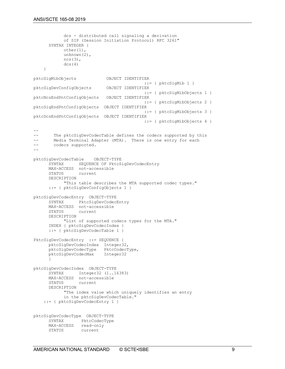```
 dcs - distributed call signaling a derivation
             of SIP (Session Initiation Protocol) RFC 3261"
       SYNTAX INTEGER {
             other(1),
             unknown(2),
             ncs(3),
            dcs(4) }
pktcSigMibObjects OBJECT IDENTIFIER 
                               ::= { pktcSigMib 1 }<br>OBJECT IDENTIFIER
pktcSigDevConfigObjects
                               := { pktcSigMibObjects 1 }<br>OBJECT IDENTIFIER
pktcNcsEndPntConfigObjects
                                                ::= { pktcSigMibObjects 2 }
pktcSigEndPntConfigObjects OBJECT IDENTIFIER 
                                                ::= { pktcSigMibObjects 3 }
pktcDcsEndPntConfigObjects OBJECT IDENTIFIER 
                                                ::= { pktcSigMibObjects 4 }
--
-- The pktcSigDevCodecTable defines the codecs supported by this<br>-- Modia Terminal Adapter (MTA) There is one entry for each
-- Media Terminal Adapter (MTA). There is one entry for each<br>-- codecs supported
        codecs supported.
-pktcSigDevCodecTable OBJECT-TYPE 
       SYNTAX SEQUENCE OF PktcSigDevCodecEntry
      MAX-ACCESS not-accessible<br>STATUS current
              current
       DESCRIPTION
             "This table describes the MTA supported codec types."
       ::= { pktcSigDevConfigObjects 1 }
pktcSigDevCodecEntry OBJECT-TYPE
                 PktcSigDevCodecEntry
       MAX-ACCESS not-accessible
                  current
       DESCRIPTION
             "List of supported codecs types for the MTA."
       INDEX { pktcSigDevCodecIndex }
       ::= { pktcSigDevCodecTable 1 }
PktcSigDevCodecEntry ::= SEQUENCE {
       pktcSigDevCodecIndex Integer32,
      pktcSigDevCodecType PktcCodecType,<br>pktcSigDevCodecMax Integer32
      pktcSigDevCodecMax
 }
pktcSigDevCodecIndex OBJECT-TYPE
       SYNTAX Integer32 (1..16383)
       MAX-ACCESS not-accessible
                  current
       DESCRIPTION
              "The index value which uniquely identifies an entry
              in the pktcSigDevCodecTable."
     ::= { pktcSigDevCodecEntry 1 }
pktcSigDevCodecType OBJECT-TYPE
                 PktcCodecType
       MAX-ACCESS read-only
       STATUS current
```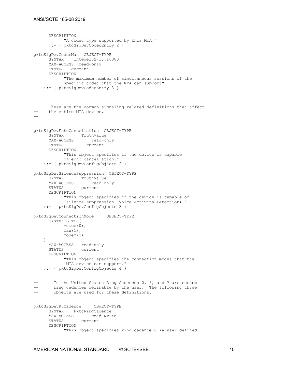```
 DESCRIPTION
              "A codec type supported by this MTA."
       ::= { pktcSigDevCodecEntry 2 }
pktcSigDevCodecMax OBJECT-TYPE
                Integer32(1..16383)
      MAX-ACCESS read-only<br>STATUS current
               current
       DESCRIPTION
              "The maximum number of simultaneous sessions of the 
              specific codec that the MTA can support"
     ::= { pktcSigDevCodecEntry 3 }
--
-- These are the common signaling related definitions that affect<br>-- the entire MTA device
      the entire MTA device.
--
pktcSigDevEchoCancellation OBJECT-TYPE
                    TruthValue<br>read-only
      MAX-ACCESS<br>STATUS
                       current
       DESCRIPTION
              "This object specifies if the device is capable 
              of echo cancellation."
     ::= { pktcSigDevConfigObjects 2 }
pktcSigDevSilenceSuppression OBJECT-TYPE
                   TruthValue<br>read-only
      MAX-ACCESS<br>STATUS
                    current
       DESCRIPTION
              "This object specifies if the device is capable of 
               silence suppression (Voice Activity Detection)."
     ::= { pktcSigDevConfigObjects 3 }
pktcSigDevConnectionMode OBJECT-TYPE
       SYNTAX BITS {
              voice(0), 
             fax(1),
              modem(2)
     }
      MAX-ACCESS read-only<br>STATUS current
                    current
       DESCRIPTION
              "This object specifies the connection modes that the 
               MTA device can support."
     ::= { pktcSigDevConfigObjects 4 }
--
-- In the United States Ring Cadences 0, 6, and 7 are custom
-- ring cadences definable by the user. The following three
-- objects are used for these definitions.
--
pktcSigDevR0Cadence OBJECT-TYPE
      SYNTAX PktcRingCadence<br>MAX-ACCESS read-write
      MAX-ACCESS<br>STATUS
                    current
       DESCRIPTION
              "This object specifies ring cadence 0 (a user defined
```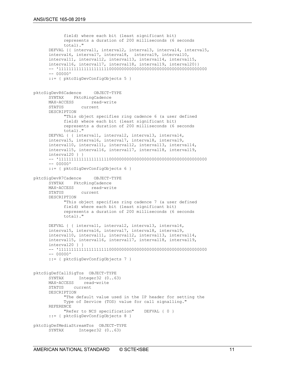```
 field) where each bit (least significant bit) 
             represents a duration of 200 milliseconds (6 seconds 
             total)."
       DEFVAL {{ interval1, interval2, interval3, interval4, interval5,
       interval6, interval7, interval8, interval9, interval10, 
       interval11, interval12, interval13, interval14, interval15, 
      interval16, interval17, interval18, interval19, interval20}}
        -- '11111111111111111111000000000000000000000000000000000000000
      -- 00000' ::= { pktcSigDevConfigObjects 5 }
pktcSigDevR6Cadence OBJECT-TYPE
       SYNTAX PktcRingCadence
      MAX-ACCESS read-write<br>STATUS current
                   current
       DESCRIPTION
             "This object specifies ring cadence 6 (a user defined 
             field) where each bit (least significant bit) 
             represents a duration of 200 milliseconds (6 seconds 
             total)."
       DEFVAL { { interval1, interval2, interval3, interval4, 
       interval5, interval6, interval7, interval8, interval9, 
 interval10, interval11, interval12, interval13, interval14, 
 interval15, interval16, interval17, interval18, interval19, 
       interval20 } }
       -- '11111111111111111111000000000000000000000000000000000000000
      -- 00000' ::= { pktcSigDevConfigObjects 6 }
pktcSigDevR7Cadence OBJECT-TYPE
       SYNTAX PktcRingCadence
      MAX-ACCESS read-write<br>STATUS current
                   current
       DESCRIPTION
             "This object specifies ring cadence 7 (a user defined 
             field) where each bit (least significant bit) 
             represents a duration of 200 milliseconds (6 seconds 
             total)."
       DEFVAL { { interval1, interval2, interval3, interval4, 
       interval5, interval6, interval7, interval8, interval9, 
       interval10, interval11, interval12, interval13, interval14, 
       interval15, interval16, interval17, interval18, interval19,
       interval20 } }
       -- '11111111111111111111000000000000000000000000000000000000000
       -- 00000'
       ::= { pktcSigDevConfigObjects 7 }
pktcSigDefCallSigTos OBJECT-TYPE
      SYNTAX Integer32 (0..63)<br>MAX-ACCESS read-write
      MAX-ACCESS read-write<br>STATUS current
              current.
       DESCRIPTION
             "The default value used in the IP header for setting the 
             Type of Service (TOS) value for call signalling."
       REFERENCE
             "Refer to NCS specification" DEFVAL { 0 }
       ::= { pktcSigDevConfigObjects 8 }
pktcSigDefMediaStreamTos OBJECT-TYPE
                  Integer32 (0..63)
```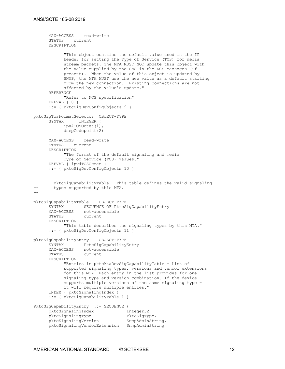```
MAX-ACCESS read-write
       STATUS current
       DESCRIPTION
              "This object contains the default value used in the IP 
              header for setting the Type of Service (TOS) for media
              stream packets. The MTA MUST NOT update this object with
              the value supplied by the CMS in the NCS messages (if 
              present). When the value of this object is updated by 
              SNMP, the MTA MUST use the new value as a default starting
              from the new connection. Existing connections are not
              affected by the value's update."
       REFERENCE
              "Refer to NCS specification"
       DEFVAL { 0 }
       ::= { pktcSigDevConfigObjects 9 }
pktcSigTosFormatSelector OBJECT-TYPE
       SYNTAX INTEGER { 
              ipv4TOSOctet(1),
      dscpCodepoint(2)
\qquad \qquad \}MAX-ACCESS read-write
       STATUS current
       DESCRIPTION
              "The format of the default signaling and media 
              Type of Service (TOS) values."
       DEFVAL { ipv4TOSOctet }
       ::= { pktcSigDevConfigObjects 10 }
--
-- pktcSigCapabilityTable - This table defines the valid signaling<br>-- types supported by this MTA
         types supported by this MTA.
--
pktcSigCapabilityTable OBJECT-TYPE
      SYNTAX SEQUENCE OF PktcSigCapabilityEntry<br>MAX-ACCESS not-accessible
      MAX-ACCESS not-accessible<br>STATUS current
                      current.
       DESCRIPTION 
              "This table describes the signaling types by this MTA."
       ::= { pktcSigDevConfigObjects 11 }
pktcSigCapabilityEntry OBJECT-TYPE
      SYNTAX PktcSigCapabilityEntry<br>
MAX-ACCESS not-accessible
      MAX-ACCESS not-accessible<br>STATUS current
                     current
       DESCRIPTION 
              "Entries in pktcMtaDevSigCapabilityTable - List of 
              supported signaling types, versions and vendor extensions 
              for this MTA. Each entry in the list provides for one 
              signaling type and version combination. If the device 
              supports multiple versions of the same signaling type –
              it will require multiple entries."
       INDEX { pktcSignalingIndex }
       ::= { pktcSigCapabilityTable 1 }
PktcSigCapabilityEntry ::= SEQUENCE {<br>pktcSignalingIndex Integer32,
      pktcSignalingIndex Integer32,<br>
pktcSignalingType PktcSigType,
      pktcSignalingType PktcSigType,<br>
pktcSignalingVersion SnmpAdminString,
      pktcSignalingVersion
       pktcSignalingVendorExtension SnmpAdminString
 }
```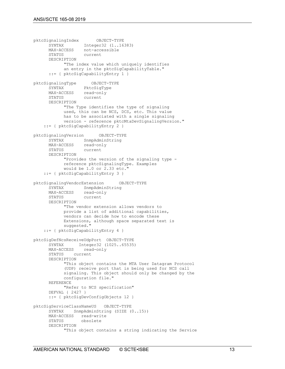```
pktcSignalingIndex OBJECT-TYPE
                     Integer32 (1..16383)
      MAX-ACCESS not-accessible<br>STATUS current
                     current.
       DESCRIPTION 
              "The index value which uniquely identifies 
              an entry in the pktcSigCapabilityTable." 
       ::= { pktcSigCapabilityEntry 1 }
pktcSignalingType OBJECT-TYPE
      SYNTAX PktcSigType<br>MAX-ACCESS read-only
      MAX-ACCESS read-only<br>STATUS current
                     current
       DESCRIPTION 
              "The Type identifies the type of signaling 
              used, this can be NCS, DCS, etc. This value
              has to be associated with a single signaling 
              version - reference pktcMtaDevSignalingVersion."
     ::= { pktcSigCapabilityEntry 2 }
pktcSignalingVersion OBJECT-TYPE
                     SnmpAdminString<br>read-only
      MAX-ACCESS<br>STATUS
                     current.
       DESCRIPTION 
              "Provides the version of the signaling type -
              reference pktcSignalingType. Examples
              would be 1.0 or 2.33 etc."
     ::= { pktcSigCapabilityEntry 3 }
pktcSignalingVendorExtension OBJECT-TYPE
      SYNTAX SnmpAdminString<br>
MAX-ACCESS read-only
      MAX-ACCESS read-only<br>STATUS current
                     current
       DESCRIPTION 
              "The vendor extension allows vendors to 
              provide a list of additional capabilities,
              vendors can decide how to encode these
              Extensions, although space separated text is
              suggested."
     ::= { pktcSigCapabilityEntry 4 }
pktcSigDefNcsReceiveUdpPort OBJECT-TYPE
                 Integer32 (1025..65535)
       MAX-ACCESS read-only
       STATUS current
       DESCRIPTION
              "This object contains the MTA User Datagram Protocol
              (UDP) receive port that is being used for NCS call 
              signaling. This object should only be changed by the 
              configuration file."
       REFERENCE
              "Refer to NCS specification"
       DEFVAL { 2427 }
       ::= { pktcSigDevConfigObjects 12 }
pktcSigServiceClassNameUS OBJECT-TYPE
               SnmpAdminString (SIZE (0..15))
      MAX-ACCESS read-write<br>STATUS obsolete
                    obsolete
       DESCRIPTION
              "This object contains a string indicating the Service
```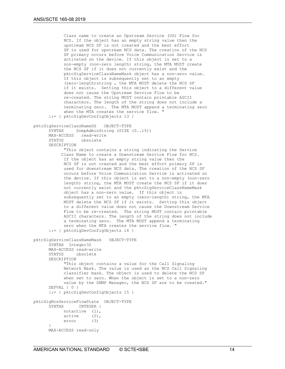```
 Class name to create an Upstream Service (US) Flow for 
             NCS. If the object has an empty string value then the 
             upstream NCS SF is not created and the best effort 
             SF is used for upstream NCS data. The creation of the NCS 
             SF primary occurs before Voice Communication Service is 
             activated on the device. If this object is set to a 
             non-empty (non-zero length) string, the MTA MUST create 
             the NCS SF if it does not currently exist and the 
             pktcSigServiceClassNameMask object has a non-zero value.
             If this object is subsequently set to an empty 
              (zero-length)string , the MTA MUST delete the NCS SF 
             if it exists. Setting this object to a different value 
             does not cause the Upstream Service Flow to be 
             re-created. The string MUST contain printable ASCII
             characters. The length of the string does not include a 
             terminating zero. The MTA MUST append a terminating zero
             when the MTA creates the service flow. " 
       ::= { pktcSigDevConfigObjects 13 }
pktcSigServiceClassNameDS OBJECT-TYPE
                SnmpAdminString (SIZE (0..15))
      MAX-ACCESS read-write<br>STATUS obsolete
                   obsolete
       DESCRIPTION
             "This object contains a string indicating the Service 
            Class Name to create a Downstream Service Flow for NCS. 
             If the object has an empty string value then the 
             NCS SF is not created and the best effort primary SF is 
             used for downstream NCS data. The creation of the NCS SF 
             occurs before Voice Communication Service is activated on 
             the device. If this object is set to a non-empty (non-zero 
             length) string, the MTA MUST create the NCS SF if it does 
             not currently exist and the pktcSigServiceClassNameMask 
             object has a non-zero value. If this object is 
             subsequently set to an empty (zero-length) string, the MTA 
             MUST delete the NCS SF if it exists. Setting this object 
             to a different value does not cause the Downstream Service 
             Flow to be re-created. The string MUST contain printable 
             ASCII characters. The length of the string does not include 
             a terminating zero. The MTA MUST append a terminating 
             zero when the MTA creates the service flow. "
       ::= { pktcSigDevConfigObjects 14 }
pktcSigServiceClassNameMask OBJECT-TYPE
       SYNTAX Integer32
      MAX-ACCESS read-write<br>STATUS obsolete
                 obsolete
       DESCRIPTION
             "This object contains a value for the Call Signaling 
             Network Mask. The value is used as the NCS Call Signaling 
             classifier mask. The object is used to delete the NCS SF 
            when set to zero. When the object is set to a non-zero
             value by the SNMP Manager, the NCS SF are to be created."
       DEFVAL { 0 }
       ::= { pktcSigDevConfigObjects 15 }
pktcSigNcsServiceFlowState OBJECT-TYPE<br>SYNTAX INTEGER {
               INTEGER {
            notactive (1),<br>active (2),
            active
             error (3)
 }
       MAX-ACCESS read-only
```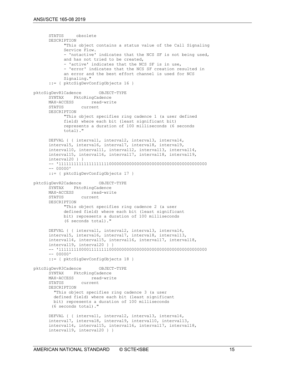```
 STATUS obsolete
       DESCRIPTION
             "This object contains a status value of the Call Signaling 
             Service Flow. 
              - 'notactive' indicates that the NCS SF is not being used,
             and has not tried to be created, 
              - 'active' indicates that the NCS SF is in use, 
              - 'error' indicates that the NCS SF creation resulted in 
             an error and the best effort channel is used for NCS 
             Signaling."
       ::= { pktcSigDevConfigObjects 16 }
pktcSigDevR1Cadence OBJECT-TYPE
      SYNTAX PktcRingCadence<br>MAX-ACCESS read-write
      MAX-ACCESS<br>STATUS
                   current
       DESCRIPTION
             "This object specifies ring cadence 1 (a user defined 
             field) where each bit (least significant bit) 
             represents a duration of 100 milliseconds (6 seconds
             total)."
       DEFVAL { { interval1, interval2, interval3, interval4, 
       interval5, interval6, interval7, interval8, interval9, 
       interval10, interval11, interval12, interval13, interval14, 
       interval15, interval16, interval17, interval18, interval19, 
       interval20 } }
       -- '11111111111111111111000000000000000000000000000000000000000
      -- 00000' ::= { pktcSigDevConfigObjects 17 }
pktcSigDevR2Cadence OBJECT-TYPE
       SYNTAX PktcRingCadence
      MAX-ACCESS read-write<br>STATUS current
      STATUS
       DESCRIPTION
             "This object specifies ring cadence 2 (a user
             defined field) where each bit (least significant
             bit) represents a duration of 100 milliseconds
              (6 seconds total)."
       DEFVAL { { interval1, interval2, interval3, interval4, 
       interval5, interval6, interval7, interval8, interval13, 
       interval14, interval15, interval16, interval17, interval18, 
       interval19, interval20 } }
       -- '11111111000011111111000000000000000000000000000000000000000
       -- 00000'
       ::= { pktcSigDevConfigObjects 18 }
pktcSigDevR3Cadence OBJECT-TYPE
      SYNTAX PktcRingCadence<br>MAX-ACCESS read-wri
      MAX-ACCESS read-write<br>STATUS current
                    current
       DESCRIPTION
         "This object specifies ring cadence 3 (a user
         defined field) where each bit (least significant
         bit) represents a duration of 100 milliseconds
        (6 seconds total)."
       DEFVAL { { interval1, interval2, interval3, interval4, 
       interval7, interval8, interval9, interval10, interval13, 
       interval14, interval15, interval16, interval17, interval18, 
       interval19, interval20 } }
```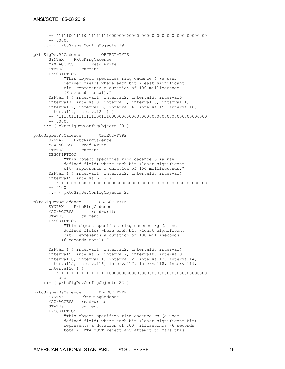```
 -- '11110011110011111111000000000000000000000000000000000000000
      -- 00000' ::= { pktcSigDevConfigObjects 19 }
pktcSigDevR4Cadence OBJECT-TYPE
       SYNTAX PktcRingCadence
      MAX-ACCESS read-write<br>STATUS current
                   current
       DESCRIPTION
             "This object specifies ring cadence 4 (a user
             defined field) where each bit (least significant
             bit) represents a duration of 100 milliseconds
             (6 seconds total)."
       DEFVAL { { interval1, interval2, interval3, interval6, 
       interval7, interval8, interval9, interval10, interval11, 
       interval12, interval13, interval14, interval15, interval18, 
       interval19, interval20 } }
       -- '11100111111111100111000000000000000000000000000000000000000
      -- 00000' ::= { pktcSigDevConfigObjects 20 }
pktcSigDevR5Cadence OBJECT-TYPE
       SYNTAX PktcRingCadence
      MAX-ACCESS read-write<br>STATUS current
      STATUS
       DESCRIPTION
             "This object specifies ring cadence 5 (a user
             defined field) where each bit (least significant
             bit) represents a duration of 100 milliseconds."
       DEFVAL { { interval1, interval2, interval3, interval4, 
       interval5, interval61 } }
       -- '11111000000000000000000000000000000000000000000000000000000
      -- 01000' ::= { pktcSigDevConfigObjects 21 }
pktcSigDevRgCadence OBJECT-TYPE
      SYNTAX PktcRingCadence<br>MAX-ACCESS read-write
      MAX-ACCESS<br>STATUS
                   current.
       DESCRIPTION
             "This object specifies ring cadence rg (a user
             defined field) where each bit (least significant
             bit) represents a duration of 100 milliseconds
             (6 seconds total)."
       DEFVAL { { interval1, interval2, interval3, interval4, 
       interval5, interval6, interval7, interval8, interval9, 
       interval10, interval11, interval12, interval13, interval14, 
       interval15, interval16, interval17, interval18, interval19, 
       interval20 } }
       -- '11111111111111111111000000000000000000000000000000000000000
      -- 00000' ::= { pktcSigDevConfigObjects 22 }
pktcSigDevRsCadence OBJECT-TYPE
       SYNTAX PktcRingCadence
      MAX-ACCESS read-write<br>STATUS current
                   current
       DESCRIPTION
             "This object specifies ring cadence rs (a user 
             defined field) where each bit (least significant bit)
             represents a duration of 100 milliseconds (6 seconds 
             total). MTA MUST reject any attempt to make this
```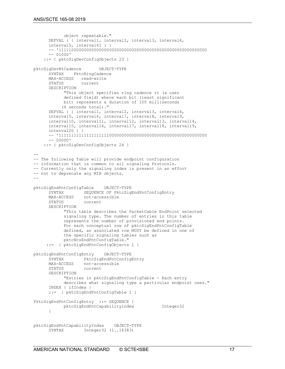```
 object repeatable."
       DEFVAL { { interval1, interval2, interval3, interval4, 
       interval5, interval61 } }
       -- '11111000000000000000000000000000000000000000000000000000000
      -- 01000' ::= { pktcSigDevConfigObjects 23 }
pktcSigDevRtCadence OBJECT-TYPE
       SYNTAX PktcRingCadence
      MAX-ACCESS read-write<br>STATUS current
                   current
       DESCRIPTION
             "This object specifies ring cadence rt (a user
             defined field) where each bit (least significant
             bit) represents a duration of 100 milliseconds
            (6 seconds total)."
       DEFVAL { { interval1, interval2, interval3, interval4, 
       interval5, interval6, interval7, interval8, interval9, 
       interval10, interval11, interval12, interval13, interval14, 
       interval15, interval16, interval17, interval18, interval19, 
       interval20 } }
       -- '11111111111111111111000000000000000000000000000000000000000
      -- 00000' ::= { pktcSigDevConfigObjects 24 }
--
-- The following Table will provide endpoint configuration
-- information that is common to all signaling Protocols.
-- Currently only the signaling index is present in an effort
-- not to deprecate any MIB objects.
-pktcSigEndPntConfigTable OBJECT-TYPE
      SYNTAX SEQUENCE OF PktcSigEndPntConfigEntry<br>MAX-ACCESS not-accessible
      MAX-ACCESS not-accessible<br>STATUS current
                    current
       DESCRIPTION 
             "This table describes the PacketCable EndPoint selected
             signaling type. The number of entries in this table 
             represents the number of provisioned end points.
             For each conceptual row of pktcSigEndPntConfigTable 
             defined, an associated row MUST be defined in one of 
             the specific signaling tables such as 
             pktcNcsEndPntConfigTable."
      ::= { pktcSigEndPntConfigObjects 1 }
pktcSigEndPntConfigEntry OBJECT-TYPE
      SYNTAX PktcSigEndPntConfigEntry<br>
MAX-ACCESS not-accessible
      MAX-ACCESS not-accessible<br>STATUS current
                    current
       DESCRIPTION 
             "Entries in pktcSigEndPntConfigTable - Each entry 
             describes what signaling type a particular endpoint uses."
       INDEX { ifIndex }
       ::= { pktcSigEndPntConfigTable 1 }
PktcSigEndPntConfigEntry ::= SEQUENCE {
       pktcSigEndPntCapabilityIndex Integer32 
 }
pktcSigEndPntCapabilityIndex OBJECT-TYPE
                   Integer32 (1..16383)
```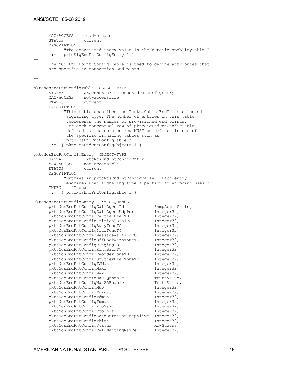```
MAX-ACCESS read-create<br>STATUS current
                        current
        DESCRIPTION 
              "The associated index value in the pktcSigCapablityTable."
        ::= { pktcSigEndPntConfigEntry 1 }
--
-- The NCS End Point Config Table is used to define attributes that<br>-- are specific to connection EndPoints
       are specific to connection EndPoints.
-1-pktcNcsEndPntConfigTable OBJECT-TYPE
       SYNTAX SEQUENCE OF PktcNcsEndPntConfigEntry<br>MAX-ACCESS not-accessible
                     not-accessible<br>current
       STATUS
        DESCRIPTION 
               "This table describes the PacketCable EndPoint selected 
                signaling type. The number of entries in this table 
                represents the number of provisioned end points.
                For each conceptual row of pktcSigEndPntConfigTable 
                 defined, an associated row MUST be defined in one of 
                 the specific signaling tables such as 
                 pktcNcsEndPntConfigTable."
        ::= { pktcNcsEndPntConfigObjects 1 }
pktcNcsEndPntConfigEntry OBJECT-TYPE
       SYNTAX PktcNcsEndPntConfigEntry<br>
MAX-ACCESS not-accessible
                      not-accessible<br>current
       STATUS
        DESCRIPTION 
               "Entries in pktcNcsEndPntConfigTable - Each entry 
               describes what signaling type a particular endpoint uses."
        INDEX { ifIndex }
        ::= { pktcNcsEndPntConfigTable 1 }
PktcNcsEndPntConfigEntry ::= SEQUENCE {
       pktcNcsEndPntConfigCallAgentId SnmpAdminString,<br>pktcNcsEndPntConfigCallAgentUdpPort Integer32,
        pktcNcsEndPntConfigCallAgentUdpPort Integer32,
        pktcNcsEndPntConfigPartialDialTO Integer32,
       pktcNcsEndPntConfigCriticalDialTO Integer32,<br>pktcNcsEndPntConfigBusyToneTO Integer32,
       pktcNcsEndPntConfigBusyToneTO Integer32,<br>pktcNcsEndPntConfigDialToneTO Integer32,
       pktcNcsEndPntConfigDialToneTO Integer32,<br>pktcNcsEndPntConfigMessageWaitingTO Integer32,
       pktcNcsEndPntConfigMessageWaitingTO Integer32,<br>pktcNcsEndPntConfigOffHookWarnToneTO Integer32,
       pktcNcsEndPntConfigOffHookWarnToneTO Integer32,<br>pktcNcsEndPntConfigRingingTO Integer32,
       pktcNcsEndPntConfigRingingTO Integer32,<br>pktcNcsEndPntConfigRingBackTO Integer32,
       pktcNcsEndPntConfigRingBackTO Integer32,<br>pktcNcsEndPntConfigReorderToneTO Integer32,
       pktcNcsEndPntConfigReorderToneTO Integer32,<br>pktcNcsEndPntConfigStutterDialToneTO Integer32,
       pktcNcsEndPntConfigStutterDialToneTO Integer32,<br>pktcNcsEndPntConfigTSMax Integer32,
        pktcNcsEndPntConfigTSMax Integer32,
       pktcNcsEndPntConfigMax1 Integer32,<br>pktcNcsEndPntConfigMax2 Integer32,
        pktcNcsEndPntConfigMax2 Integer32,
       pktcNcsEndPntConfigMax1QEnable TruthValue,<br>pktcNcsEndPntConfigMax2QEnable TruthValue,
       pktcNcsEndPntConfigMax2QEnable TruthValue<br>pktcNcsEndPntConfigMWD 1nteger32,
       pktcNcsEndPntConfigMWD 11teger32,<br>pktcNcsEndPntConfigTdinit 11teger32,
        pktcNcsEndPntConfigTdinit Integer32,
        pktcNcsEndPntConfigTdmin Integer32,
       pktcNcsEndPntConfigTdmax 11teger32,<br>pktcNcsEndPntConfigRtoMax 11teger32,
        pktcNcsEndPntConfigRtoMax Integer32,
       pktcNcsEndPntConfigRtoInit
        pktcNcsEndPntConfigLongDurationKeepAlive Integer32,
        pktcNcsEndPntConfigThist Integer32,
       pktcNcsEndPntConfigStatus
        pktcNcsEndPntConfigCallWaitingMaxRep Integer32,
```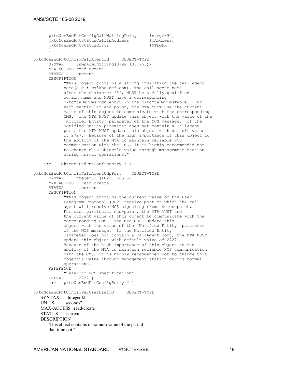```
 pktcNcsEndPntConfigCallWaitingDelay Integer32,
       pktcNcsEndPntStatusCallIpAddress IpAddress,
      pktcNcsEndPntStatusError
 }
pktcNcsEndPntConfigCallAgentId OBJECT-TYPE
                SnmpAdminString(SIZE (3..255))
       MAX-ACCESS read-create
                current.
       DESCRIPTION
             "This object contains a string indicating the call agent 
             name(e.g.: ca@abc.def.com). The call agent name 
             after the character '@', MUST be a fully qualified 
             domain name and MUST have a corresponding 
             pktcMtaDevCmsFqdn entry in the pktcMtaDevCmsTable. For 
             each particular end-point, the MTA MUST use the current 
             value of this object to communicate with the corresponding
             CMS. The MTA MUST update this object with the value of the
             'Notified Entity' parameter of the NCS message. If the 
             Notified Entity parameter does not contain a CallAgent 
             port, the MTA MUST update this object with default value 
             of 2727. Because of the high importance of this object to
             the ability of the MTA to maintain reliable NCS 
             communication with the CMS, it is highly recommended not 
             to change this object's value through management station
             during normal operations."
     ::= { pktcNcsEndPntConfigEntry 1 }
pktcNcsEndPntConfigCallAgentUdpPort OBJECT-TYPE
       SYNTAX Integer32 (1025..65535)
      MAX-ACCESS read-create<br>STATUS current
                   current
       DESCRIPTION
             "This object contains the current value of the User 
             Datagram Protocol (UDP) receive port on which the call 
             agent will receive NCS signaling from the endpoint. 
             For each particular end-point, the MTA MUST use 
             the current value of this object to communicate with the 
             corresponding CMS. The MTA MUST update this 
             object with the value of the 'Notified Entity' parameter 
             of the NCS message. If the Notified Entity 
             parameter does not contain a CallAgent port, the MTA MUST 
             update this object with default value of 2727.
             Because of the high importance of this object to the 
             ability of the MTA to maintain reliable NCS communication 
             with the CMS, it is highly recommended not to change this 
             object's value through management station during normal 
             operations."
       REFERENCE
      "Refer to NCS specification"<br>DEFVAL (2727)
              \{ 2727 \} ::= { pktcNcsEndPntConfigEntry 2 }
pktcNcsEndPntConfigPartialDialTO OBJECT-TYPE
  SYNTAX Integer32
   UNITS "seconds"
   MAX-ACCESS read-create
   STATUS current
  DESCRIPTION
      "This object contains maximum value of the partial 
       dial time out."
```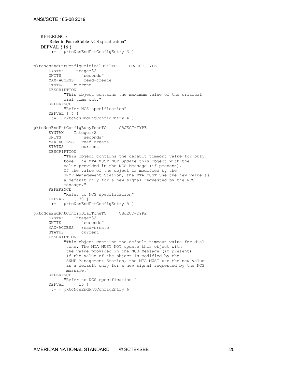```
REFERENCE
       "Refer to PacketCable NCS specification"
   DEFVAL { 16 } ::= { pktcNcsEndPntConfigEntry 3 }
pktcNcsEndPntConfigCriticalDialTO OBJECT-TYPE
      SYNTAX Integer32<br>UNITS "secone
      UNITS "seconds"<br>
MAX-ACCESS read-cre
                   read-create
       STATUS current
       DESCRIPTION
             "This object contains the maximum value of the critical 
             dial time out."
       REFERENCE
             "Refer NCS specification"
       DEFVAL { 4 }
       ::= { pktcNcsEndPntConfigEntry 4 }
pktcNcsEndPntConfigBusyToneTO OBJECT-TYPE
      SYNTAX Integer32
                   "seconds"
      MAX-ACCESS read-create<br>STATUS current
                    current
       DESCRIPTION
             "This object contains the default timeout value for busy
             tone. The MTA MUST NOT update this object with the
             value provided in the NCS Message (if present).
             If the value of the object is modified by the 
             SNMP Management Station, the MTA MUST use the new value as
             a default only for a new signal requested by the NCS 
             message." 
       REFERENCE
              "Refer to NCS specification"
       DEFVAL { 30 }
       ::= { pktcNcsEndPntConfigEntry 5 }
pktcNcsEndPntConfigDialToneTO OBJECT-TYPE
      SYNTAX Integer32<br>UNITS "secone
                    "seconds"
      MAX-ACCESS read-create<br>STATUS current
                    current
       DESCRIPTION
             "This object contains the default timeout value for dial
               tone. The MTA MUST NOT update this object with
               the value provided in the NCS Message (if present).
               If the value of the object is modified by the 
               SNMP Management Station, the MTA MUST use the new value
               as a default only for a new signal requested by the NCS
              message." 
       REFERENCE
             "Refer to NCS specification "
       DEFVAL { 16 }
       ::= { pktcNcsEndPntConfigEntry 6 }
```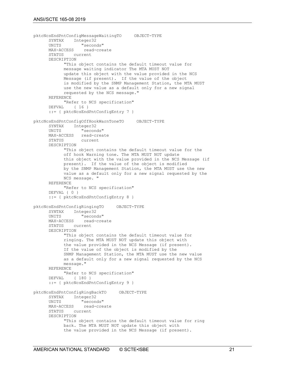```
pktcNcsEndPntConfigMessageWaitingTO OBJECT-TYPE
      SYNTAX Integer32<br>UNITS "secone
                  "seconds"
       MAX-ACCESS read-create
      STATUS current
       DESCRIPTION
             "This object contains the default timeout value for 
              message waiting indicator The MTA MUST NOT 
              update this object with the value provided in the NCS 
              Message (if present). If the value of the object
              is modified by the SNMP Management Station, the MTA MUST 
              use the new value as a default only for a new signal 
             requested by the NCS message." 
       REFERENCE
      "Refer to NCS specification"<br>DEFVAL \{16\}\{ 16 \} ::= { pktcNcsEndPntConfigEntry 7 }
pktcNcsEndPntConfigOffHookWarnToneTO OBJECT-TYPE
      SYNTAX Integer32<br>UNITS "secone
      UNITS "seconds"<br>MAX-ACCESS read-crea
      MAX-ACCESS read-create<br>STATUS current
                   current
       DESCRIPTION
              "This object contains the default timeout value for the
              off hook Warning tone. The MTA MUST NOT update
              this object with the value provided in the NCS Message (if
              present). If the value of the object is modified
              by the SNMP Management Station, the MTA MUST use the new 
              value as a default only for a new signal requested by the 
             NCS message. " 
       REFERENCE
             "Refer to NCS specification"
       DEFVAL { 0 }
       ::= { pktcNcsEndPntConfigEntry 8 }
pktcNcsEndPntConfigRingingTO OBJECT-TYPE
      SYNTAX Integer32
      UNITS "seconds"<br>MAX-ACCESS read-cre
                     read-create
       STATUS current
       DESCRIPTION
              "This object contains the default timeout value for 
              ringing. The MTA MUST NOT update this object with
              the value provided in the NCS Message (if present).
              If the value of the object is modified by the 
              SNMP Management Station, the MTA MUST use the new value 
              as a default only for a new signal requested by the NCS
             message." 
       REFERENCE
              "Refer to NCS specification"
       DEFVAL { 180 }
       ::= { pktcNcsEndPntConfigEntry 9 }
pktcNcsEndPntConfigRingBackTO OBJECT-TYPE
      SYNTAX Integer32<br>UNITS "secone
      UNITS "seconds"<br>
MAX-ACCESS read-cre
      MAX-ACCESS read-create<br>STATUS current
              current.
       DESCRIPTION
              "This object contains the default timeout value for ring 
              back. The MTA MUST NOT update this object with 
              the value provided in the NCS Message (if present).
```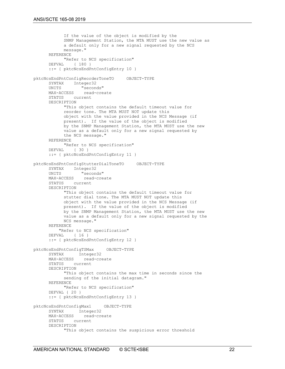```
 If the value of the object is modified by the 
             SNMP Management Station, the MTA MUST use the new value as
             a default only for a new signal requested by the NCS 
             message." 
       REFERENCE
             "Refer to NCS specification"
       DEFVAL { 180 }
       ::= { pktcNcsEndPntConfigEntry 10 }
pktcNcsEndPntConfigReorderToneTO OBJECT-TYPE
      SYNTAX Integer32<br>INITS "secone
      UNITS "seconds"<br>
MAX-ACCESS read-cre
                  read-create
       STATUS current
       DESCRIPTION
             "This object contains the default timeout value for 
             reorder tone. The MTA MUST NOT update this 
             object with the value provided in the NCS Message (if 
             present). If the value of the object is modified 
             by the SNMP Management Station, the MTA MUST use the new
             value as a default only for a new signal requested by 
             the NCS message."
       REFERENCE
             "Refer to NCS specification"
      DEFVAL { 30 }
       ::= { pktcNcsEndPntConfigEntry 11 }
pktcNcsEndPntConfigStutterDialToneTO OBJECT-TYPE
      SYNTAX Integer32<br>UNITS "secone
                   "seconds"
       MAX-ACCESS read-create
       STATUS current
       DESCRIPTION
             "This object contains the default timeout value for
             stutter dial tone. The MTA MUST NOT update this
             object with the value provided in the NCS Message (if 
             present). If the value of the object is modified
             by the SNMP Management Station, the MTA MUST use the new 
             value as a default only for a new signal requested by the
             NCS message." 
       REFERENCE
      "Refer to NCS specification"<br>DEFVAL \{16\}\{ 16 \} ::= { pktcNcsEndPntConfigEntry 12 }
pktcNcsEndPntConfigTSMax OBJECT-TYPE
      SYNTAX Integer32<br>MAX-ACCESS read-cre
      MAX-ACCESS read-create<br>STATUS current
               Current
       DESCRIPTION
             "This object contains the max time in seconds since the 
             sending of the initial datagram."
       REFERENCE
             "Refer to NCS specification"
       DEFVAL { 20 }
       ::= { pktcNcsEndPntConfigEntry 13 }
pktcNcsEndPntConfigMax1 OBJECT-TYPE
                  Integer32
       MAX-ACCESS read-create
       STATUS current
       DESCRIPTION
             "This object contains the suspicious error threshold
```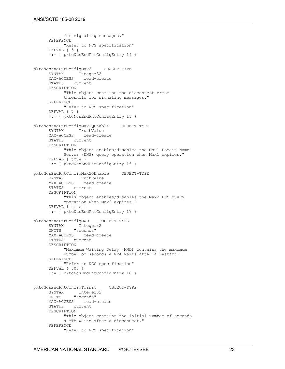```
 for signaling messages."
       REFERENCE
             "Refer to NCS specification"
       DEFVAL { 5 }
       ::= { pktcNcsEndPntConfigEntry 14 }
pktcNcsEndPntConfigMax2 OBJECT-TYPE
 SYNTAX Integer32
 MAX-ACCESS read-create
       STATUS current
       DESCRIPTION
             "This object contains the disconnect error 
             threshold for signaling messages."
       REFERENCE
             "Refer to NCS specification"
       DEFVAL { 7 }
       ::= { pktcNcsEndPntConfigEntry 15 }
pktcNcsEndPntConfigMax1QEnable OBJECT-TYPE
      SYNTAX TruthValue<br>MAX-ACCESS read-cre
                  read-create
       STATUS current
       DESCRIPTION
             "This object enables/disables the Max1 Domain Name
             Server (DNS) query operation when Max1 expires."
       DEFVAL { true }
       ::= { pktcNcsEndPntConfigEntry 16 }
pktcNcsEndPntConfigMax2QEnable OBJECT-TYPE
       SYNTAX TruthValue
       MAX-ACCESS read-create
       STATUS current
       DESCRIPTION
             "This object enables/disables the Max2 DNS query
             operation when Max2 expires."
       DEFVAL { true }
       ::= { pktcNcsEndPntConfigEntry 17 }
pktcNcsEndPntConfigMWD OBJECT-TYPE
      SYNTAX Integer32<br>IINITS "seconds"
                "seconds"
      MAX-ACCESS read-create<br>STATUS current
               current
       DESCRIPTION
             "Maximum Waiting Delay (MWD) contains the maximum 
             number of seconds a MTA waits after a restart."
       REFERENCE
             "Refer to NCS specification"
       DEFVAL { 600 }
       ::= { pktcNcsEndPntConfigEntry 18 }
pktcNcsEndPntConfigTdinit OBJECT-TYPE
      SYNTAX Integer32<br>IINITS "seconds"
               "seconds"
      MAX-ACCESS read-create<br>STATUS current
              current.
       DESCRIPTION
             "This object contains the initial number of seconds 
             a MTA waits after a disconnect."
       REFERENCE
             "Refer to NCS specification"
```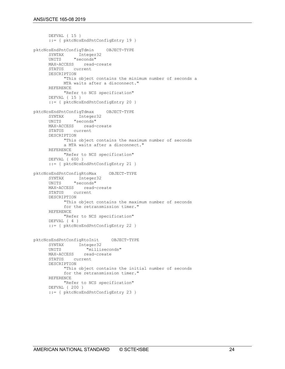```
 DEFVAL { 15 }
        ::= { pktcNcsEndPntConfigEntry 19 }
pktcNcsEndPntConfigTdmin OBJECT-TYPE
      SYNTAX Integer32<br>UNITS "seconds"
      UNITS "seconds"<br>MAX-ACCESS read-
       MAX-ACCESS read-create<br>STATUS current
               current
        DESCRIPTION
              "This object contains the minimum number of seconds a 
              MTA waits after a disconnect."
       REFERENCE
              "Refer to NCS specification"
        DEFVAL { 15 }
        ::= { pktcNcsEndPntConfigEntry 20 }
pktcNcsEndPntConfigTdmax OBJECT-TYPE
      SYNTAX Integer32<br>UNITS "seconds"
                 "seconds"
      MAX-ACCESS read-create<br>STATUS current
                current
        DESCRIPTION
              "This object contains the maximum number of seconds 
              a MTA waits after a disconnect."
       REFERENCE
              "Refer to NCS specification"
        DEFVAL { 600 }
        ::= { pktcNcsEndPntConfigEntry 21 }
pktcNcsEndPntConfigRtoMax OBJECT-TYPE
      SYNTAX Integer32<br>UNITS "seconds"
                 "seconds"
      MAX-ACCESS read-create<br>STATUS current
               current
        DESCRIPTION
              "This object contains the maximum number of seconds 
              for the retransmission timer."
        REFERENCE
              "Refer to NCS specification"
        DEFVAL { 4 }
        ::= { pktcNcsEndPntConfigEntry 22 }
pktcNcsEndPntConfigRtoInit OBJECT-TYPE
      SYNTAX Integer32<br>UNITS "millis
      UNITS "milliseconds"<br>MAX-ACCESS read-create
                      read-create
       STATUS current
        DESCRIPTION
              "This object contains the initial number of seconds 
              for the retransmission timer."
        REFERENCE
              "Refer to NCS specification"
        DEFVAL { 200 }
        ::= { pktcNcsEndPntConfigEntry 23 }
```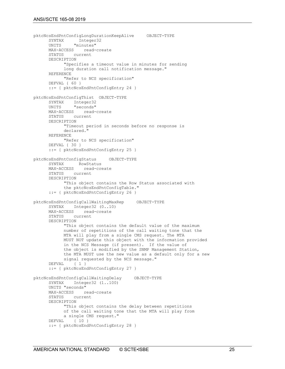```
pktcNcsEndPntConfigLongDurationKeepAlive OBJECT-TYPE
      SYNTAX Integer32<br>UNITS "minutes"
                "minutes"
       MAX-ACCESS read-create
      STATUS current
       DESCRIPTION
             "Specifies a timeout value in minutes for sending 
             long duration call notification message."
       REFERENCE
             "Refer to NCS specification"
       DEFVAL { 60 }
       ::= { pktcNcsEndPntConfigEntry 24 }
pktcNcsEndPntConfigThist OBJECT-TYPE
      SYNTAX Integer32<br>UNITS "seconds"
                "seconds"
      MAX-ACCESS read-create<br>STATUS current
               current
       DESCRIPTION
             "Timeout period in seconds before no response is 
             declared."
       REFERENCE
             "Refer to NCS specification"
       DEFVAL { 30 }
       ::= { pktcNcsEndPntConfigEntry 25 }
pktcNcsEndPntConfigStatus OBJECT-TYPE
                RowStatus
       MAX-ACCESS read-create
       STATUS current
       DESCRIPTION
             "This object contains the Row Status associated with 
             the pktcNcsEndPntConfigTable."
       ::= { pktcNcsEndPntConfigEntry 26 }
pktcNcsEndPntConfigCallWaitingMaxRep OBJECT-TYPE
              Integer32 (0..10)MAX-ACCESS read-create<br>STATUS current
                current.
       DESCRIPTION
             "This object contains the default value of the maximum
             number of repetitions of the call waiting tone that the
             MTA will play from a single CMS request. The MTA 
             MUST NOT update this object with the information provided
             in the NCS Message (if present). If the value of
             the object is modified by the SNMP Management Station, 
             the MTA MUST use the new value as a default only for a new 
      signal requested by the NCS message."<br>EFFVAL (1)\{ 1 \} ::= { pktcNcsEndPntConfigEntry 27 }
pktcNcsEndPntConfigCallWaitingDelay OBJECT-TYPE
       SYNTAX Integer32 (1..100)
       UNITS "seconds"
       MAX-ACCESS read-create
       STATUS current
       DESCRIPTION
             "This object contains the delay between repetitions
             of the call waiting tone that the MTA will play from 
             a single CMS request."
       DEFVAL { 10 }
       ::= { pktcNcsEndPntConfigEntry 28 }
```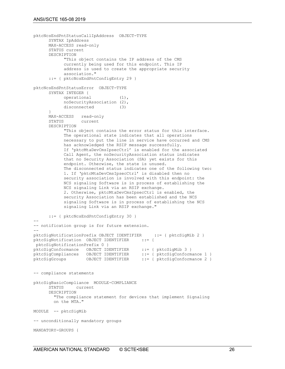```
pktcNcsEndPntStatusCallIpAddress OBJECT-TYPE 
       SYNTAX IpAddress 
       MAX-ACCESS read-only 
       STATUS current 
       DESCRIPTION 
              "This object contains the IP address of the CMS 
              currently being used for this endpoint. This IP 
              address is used to create the appropriate security 
              association."
       ::= { pktcNcsEndPntConfigEntry 29 }
pktcNcsEndPntStatusError OBJECT-TYPE 
       SYNTAX INTEGER {
              operational (1), 
             noSecurityAssociation (2),<br>disconnected (3)
       disconnected (3) 
 }
       MAX-ACCESS read-only 
       STATUS current 
       DESCRIPTION
              "This object contains the error status for this interface.
              The operational state indicates that all operations 
              necessary to put the line in service have occurred and CMS 
              has acknowledged the RSIP message successfully.
              If 'pktcMtaDevCmsIpsecCtrl' is enabled for the associated 
              Call Agent, the noSecurityAssociation status indicates 
              that no Security Association (SA) yet exists for this 
              endpoint. Otherwise, the state is unused.
              The disconnected status indicates one of the following two:
              1. If 'pktcMtaDevCmsIpsecCtrl' is disabled then no 
              security association is involved with this endpoint: the 
              NCS signaling Software is in process of establishing the 
              NCS signaling Link via an RSIP exchange.
              2. Otherwise, pktcMtaDevCmsIpsecCtrl is enabled, the 
              security Association has been established and the NCS 
              signaling Software is in process of establishing the NCS
              signaling Link via an RSIP exchange."
       ::= { pktcNcsEndPntConfigEntry 30 }
--
-- notification group is for future extension.
--
pktcSigNotificationPrefix OBJECT IDENTIFIER ::= { pktcSigMib 2 }
pktcSigNotification OBJECT IDENTIFIER ::= {
pktcSigNotificationPrefix 0 }
pktcSigConformance OBJECT IDENTIFIER ::= { pktcSigMib 3 }<br>pktcSigCompliances OBJECT IDENTIFIER ::= { pktcSigConformance 1 }
pktcSigCompliances OBJECT IDENTIFIER<br>pktcSigGroups ::= 0BJECT IDENTIFIER
                                             ::= { pktcSigConformance 2 }
-- compliance statements
pktcSigBasicCompliance MODULE-COMPLIANCE
                 current
       DESCRIPTION
         "The compliance statement for devices that implement Signaling
         on the MTA."
MODULE -- pktcSigMib
-- unconditionally mandatory groups
MANDATORY-GROUPS {
```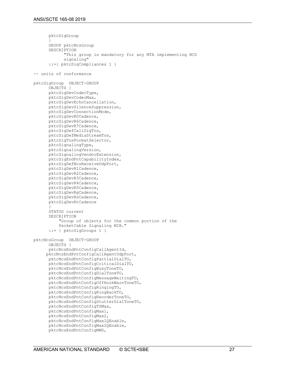```
 pktcSigGroup
 }
       GROUP pktcNcsGroup
       DESCRIPTION 
             "This group is mandatory for any MTA implementing NCS
             signaling"
       ::={ pktcSigCompliances 1 }
-- units of conformance
pktcSigGroup OBJECT-GROUP
       OBJECTS {
       pktcSigDevCodecType,
       pktcSigDevCodecMax,
       pktcSigDevEchoCancellation,
       pktcSigDevSilenceSuppression,
       pktcSigDevConnectionMode, 
       pktcSigDevR0Cadence,
       pktcSigDevR6Cadence,
       pktcSigDevR7Cadence,
       pktcSigDefCallSigTos,
       pktcSigDefMediaStreamTos,
       pktcSigTosFormatSelector,
       pktcSignalingType,
       pktcSignalingVersion,
       pktcSignalingVendorExtension,
       pktcSigEndPntCapabilityIndex,
       pktcSigDefNcsReceiveUdpPort,
       pktcSigDevR1Cadence,
       pktcSigDevR2Cadence,
       pktcSigDevR3Cadence,
       pktcSigDevR4Cadence,
       pktcSigDevR5Cadence,
       pktcSigDevRgCadence,
       pktcSigDevRsCadence,
       pktcSigDevRtCadence
 }
       STATUS current
       DESCRIPTION
           "Group of objects for the common portion of the
           PacketCable Signaling MIB."
       ::= { pktcSigGroups 1 } 
pktcNcsGroup OBJECT-GROUP
       OBJECTS {
       pktcNcsEndPntConfigCallAgentId,
      pktcNcsEndPntConfigCallAgentUdpPort,
       pktcNcsEndPntConfigPartialDialTO,
       pktcNcsEndPntConfigCriticalDialTO,
       pktcNcsEndPntConfigBusyToneTO,
       pktcNcsEndPntConfigDialToneTO,
       pktcNcsEndPntConfigMessageWaitingTO,
       pktcNcsEndPntConfigOffHookWarnToneTO,
       pktcNcsEndPntConfigRingingTO,
       pktcNcsEndPntConfigRingBackTO,
       pktcNcsEndPntConfigReorderToneTO,
       pktcNcsEndPntConfigStutterDialToneTO,
       pktcNcsEndPntConfigTSMax,
       pktcNcsEndPntConfigMax1,
       pktcNcsEndPntConfigMax2,
       pktcNcsEndPntConfigMax1QEnable,
       pktcNcsEndPntConfigMax2QEnable,
       pktcNcsEndPntConfigMWD,
```